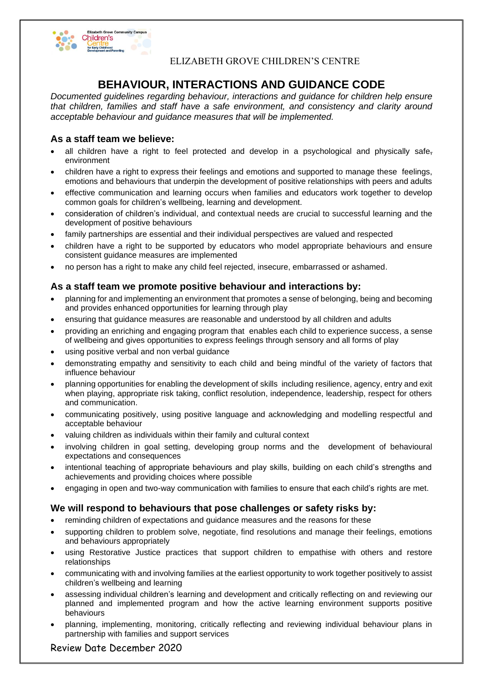

## ELIZABETH GROVE CHILDREN'S CENTRE

# **BEHAVIOUR, INTERACTIONS AND GUIDANCE CODE**

*Documented guidelines regarding behaviour, interactions and guidance for children help ensure that children, families and staff have a safe environment, and consistency and clarity around acceptable behaviour and guidance measures that will be implemented.*

## **As a staff team we believe:**

- all children have a right to feel protected and develop in a psychological and physically safeenvironment
- children have a right to express their feelings and emotions and supported to manage these feelings, emotions and behaviours that underpin the development of positive relationships with peers and adults
- effective communication and learning occurs when families and educators work together to develop common goals for children's wellbeing, learning and development.
- consideration of children's individual, and contextual needs are crucial to successful learning and the development of positive behaviours
- family partnerships are essential and their individual perspectives are valued and respected
- children have a right to be supported by educators who model appropriate behaviours and ensure consistent guidance measures are implemented
- no person has a right to make any child feel rejected, insecure, embarrassed or ashamed.

#### **As a staff team we promote positive behaviour and interactions by:**

- planning for and implementing an environment that promotes a sense of belonging, being and becoming and provides enhanced opportunities for learning through play
- ensuring that guidance measures are reasonable and understood by all children and adults
- providing an enriching and engaging program that enables each child to experience success, a sense of wellbeing and gives opportunities to express feelings through sensory and all forms of play
- using positive verbal and non verbal guidance
- demonstrating empathy and sensitivity to each child and being mindful of the variety of factors that influence behaviour
- planning opportunities for enabling the development of skills including resilience, agency, entry and exit when playing, appropriate risk taking, conflict resolution, independence, leadership, respect for others and communication.
- communicating positively, using positive language and acknowledging and modelling respectful and acceptable behaviour
- valuing children as individuals within their family and cultural context
- involving children in goal setting, developing group norms and the development of behavioural expectations and consequences
- intentional teaching of appropriate behaviours and play skills, building on each child's strengths and achievements and providing choices where possible
- engaging in open and two-way communication with families to ensure that each child's rights are met.

## **We will respond to behaviours that pose challenges or safety risks by:**

- reminding children of expectations and guidance measures and the reasons for these
- supporting children to problem solve, negotiate, find resolutions and manage their feelings, emotions and behaviours appropriately
- using Restorative Justice practices that support children to empathise with others and restore relationships
- communicating with and involving families at the earliest opportunity to work together positively to assist children's wellbeing and learning
- assessing individual children's learning and development and critically reflecting on and reviewing our planned and implemented program and how the active learning environment supports positive behaviours
- planning, implementing, monitoring, critically reflecting and reviewing individual behaviour plans in partnership with families and support services

Review Date December 2020